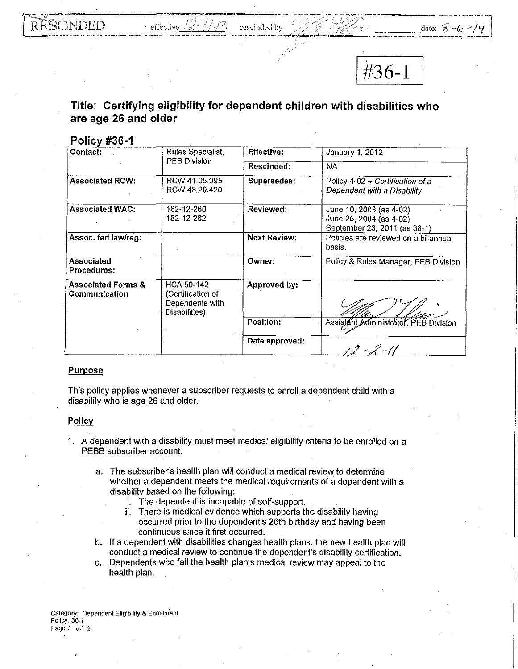I **#36-1** I

## **Title: Certifying eligibility for dependent children with disabilities who are age 26 and older**

## **Policv #36-1**

| Contact:                                       | Rules Specialist,<br><b>PEB Division</b>                                   | <b>Effective:</b>   | January 1, 2012                                                                    |
|------------------------------------------------|----------------------------------------------------------------------------|---------------------|------------------------------------------------------------------------------------|
|                                                |                                                                            | Rescinded:          | NA                                                                                 |
| <b>Associated RCW:</b>                         | RCW 41.05.095<br>RCW 48.20.420                                             | Supersedes:         | Policy 4-02 - Certification of a<br>Dependent with a Disability                    |
| <b>Associated WAC:</b>                         | 182-12-260<br>182-12-262                                                   | Reviewed:           | June 10, 2003 (as 4-02)<br>June 25, 2004 (as 4-02)<br>September 23, 2011 (as 36-1) |
| Assoc. fed law/reg:                            |                                                                            | <b>Next Review:</b> | Policies are reviewed on a bi-annual<br>basis.                                     |
| Associated<br>Procedures:                      |                                                                            | Owner:              | Policy & Rules Manager, PEB Division                                               |
| <b>Associated Forms &amp;</b><br>Communication | <b>HCA 50-142</b><br>(Certification of<br>Dependents with<br>Disabilities) | Approved by:        |                                                                                    |
|                                                |                                                                            | Position:           | Assistant Administrator, PEB Division                                              |
|                                                |                                                                            | Date approved:      | $12 - 2 - 11$                                                                      |

## Purpose

This policy applies whenever a subscriber requests to enroll a dependent child with a disability who is age 26 and older.

## Policy

- 1. A dependent with a disability must meet medical eligibility criteria to be enrolled on a PEBB subscriber account.
	- a. The subscriber's health plan will conduct a medical review to determine whether a dependent meets the medical requirements of a dependent with a disability based on the following:
		- i. The dependent is incapable of self-support.
		- ii. There is medical evidence which supports the disability having occurred prior to the dependent's 26th birthday and having been continuous since it first occurred.
	- b. If a dependent with disabilities changes health plans, the new health plan will conduct a medical review to continue the dependent's disability certification.
	- c. Dependents who fail the health plan's medical review may appeal to the health plan.

**Category: Dependent Eligibility & Enrollment Policy: 36-1 Page** 1 of 2